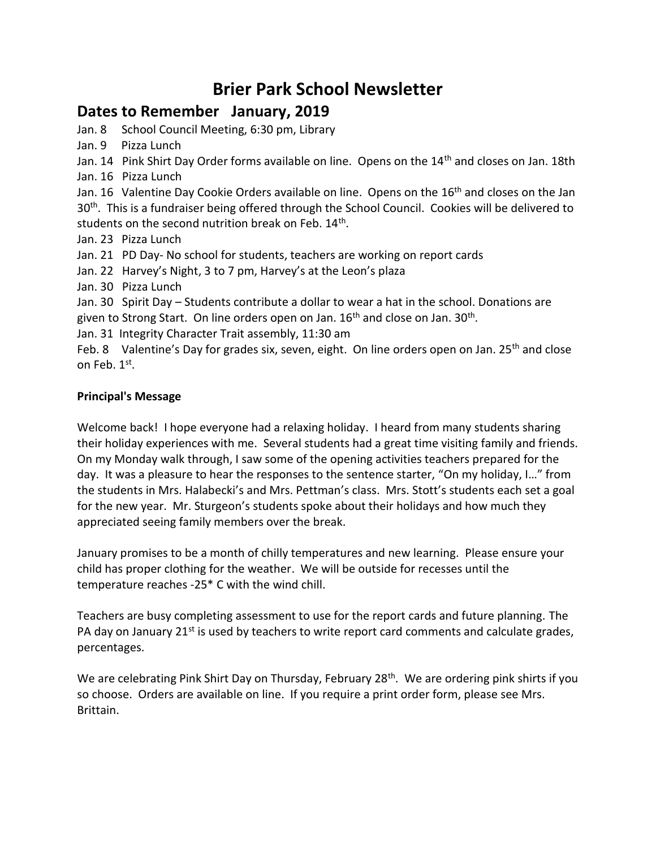# **Brier Park School Newsletter**

#### **Dates to Remember January, 2019**

Jan. 8 School Council Meeting, 6:30 pm, Library

Jan. 9 Pizza Lunch

Jan. 14 Pink Shirt Day Order forms available on line. Opens on the 14<sup>th</sup> and closes on Jan. 18th Jan. 16 Pizza Lunch

Jan. 16 Valentine Day Cookie Orders available on line. Opens on the 16<sup>th</sup> and closes on the Jan 30<sup>th</sup>. This is a fundraiser being offered through the School Council. Cookies will be delivered to students on the second nutrition break on Feb. 14<sup>th</sup>.

Jan. 23 Pizza Lunch

Jan. 21 PD Day- No school for students, teachers are working on report cards

Jan. 22 Harvey's Night, 3 to 7 pm, Harvey's at the Leon's plaza

Jan. 30 Pizza Lunch

Jan. 30 Spirit Day – Students contribute a dollar to wear a hat in the school. Donations are given to Strong Start. On line orders open on Jan. 16<sup>th</sup> and close on Jan. 30<sup>th</sup>.

Jan. 31 Integrity Character Trait assembly, 11:30 am

Feb. 8 Valentine's Day for grades six, seven, eight. On line orders open on Jan. 25<sup>th</sup> and close on Feb. 1<sup>st</sup>.

#### **Principal's Message**

Welcome back! I hope everyone had a relaxing holiday. I heard from many students sharing their holiday experiences with me. Several students had a great time visiting family and friends. On my Monday walk through, I saw some of the opening activities teachers prepared for the day. It was a pleasure to hear the responses to the sentence starter, "On my holiday, I…" from the students in Mrs. Halabecki's and Mrs. Pettman's class. Mrs. Stott's students each set a goal for the new year. Mr. Sturgeon's students spoke about their holidays and how much they appreciated seeing family members over the break.

January promises to be a month of chilly temperatures and new learning. Please ensure your child has proper clothing for the weather. We will be outside for recesses until the temperature reaches -25\* C with the wind chill.

Teachers are busy completing assessment to use for the report cards and future planning. The PA day on January 21<sup>st</sup> is used by teachers to write report card comments and calculate grades, percentages.

We are celebrating Pink Shirt Day on Thursday, February 28<sup>th</sup>. We are ordering pink shirts if you so choose. Orders are available on line. If you require a print order form, please see Mrs. Brittain.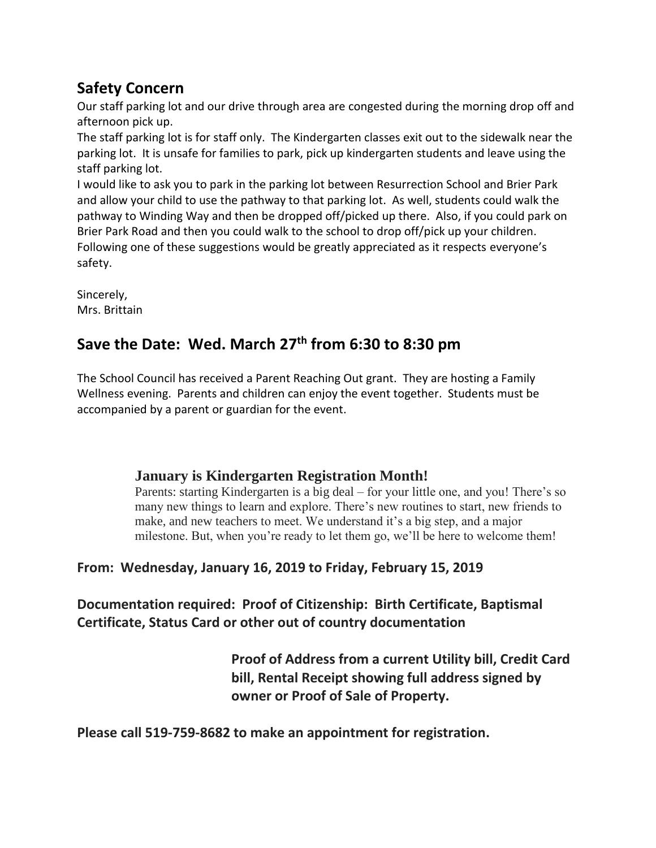## **Safety Concern**

Our staff parking lot and our drive through area are congested during the morning drop off and afternoon pick up.

The staff parking lot is for staff only. The Kindergarten classes exit out to the sidewalk near the parking lot. It is unsafe for families to park, pick up kindergarten students and leave using the staff parking lot.

I would like to ask you to park in the parking lot between Resurrection School and Brier Park and allow your child to use the pathway to that parking lot. As well, students could walk the pathway to Winding Way and then be dropped off/picked up there. Also, if you could park on Brier Park Road and then you could walk to the school to drop off/pick up your children. Following one of these suggestions would be greatly appreciated as it respects everyone's safety.

Sincerely, Mrs. Brittain

## **Save the Date: Wed. March 27th from 6:30 to 8:30 pm**

The School Council has received a Parent Reaching Out grant. They are hosting a Family Wellness evening. Parents and children can enjoy the event together. Students must be accompanied by a parent or guardian for the event.

## **January is Kindergarten Registration Month!**

Parents: starting Kindergarten is a big deal – for your little one, and you! There's so many new things to learn and explore. There's new routines to start, new friends to make, and new teachers to meet. We understand it's a big step, and a major milestone. But, when you're ready to let them go, we'll be here to welcome them!

## **From: Wednesday, January 16, 2019 to Friday, February 15, 2019**

**Documentation required: Proof of Citizenship: Birth Certificate, Baptismal Certificate, Status Card or other out of country documentation**

> **Proof of Address from a current Utility bill, Credit Card bill, Rental Receipt showing full address signed by owner or Proof of Sale of Property.**

**Please call 519-759-8682 to make an appointment for registration.**